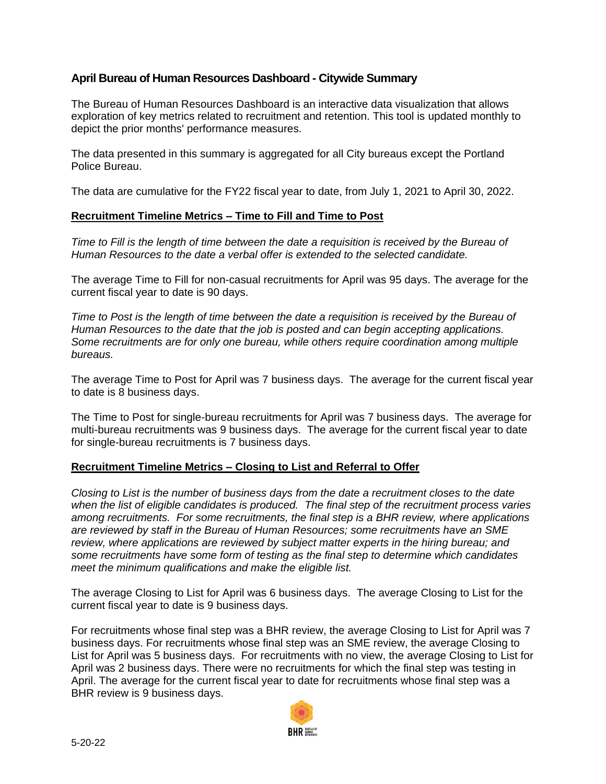# **April Bureau of Human Resources Dashboard - Citywide Summary**

The Bureau of Human Resources Dashboard is an interactive data visualization that allows exploration of key metrics related to recruitment and retention. This tool is updated monthly to depict the prior months' performance measures.

The data presented in this summary is aggregated for all City bureaus except the Portland Police Bureau.

The data are cumulative for the FY22 fiscal year to date, from July 1, 2021 to April 30, 2022.

# **Recruitment Timeline Metrics – Time to Fill and Time to Post**

*Time to Fill is the length of time between the date a requisition is received by the Bureau of Human Resources to the date a verbal offer is extended to the selected candidate.*

The average Time to Fill for non-casual recruitments for April was 95 days. The average for the current fiscal year to date is 90 days.

*Time to Post is the length of time between the date a requisition is received by the Bureau of Human Resources to the date that the job is posted and can begin accepting applications. Some recruitments are for only one bureau, while others require coordination among multiple bureaus.*

The average Time to Post for April was 7 business days. The average for the current fiscal year to date is 8 business days.

The Time to Post for single-bureau recruitments for April was 7 business days. The average for multi-bureau recruitments was 9 business days. The average for the current fiscal year to date for single-bureau recruitments is 7 business days.

# **Recruitment Timeline Metrics – Closing to List and Referral to Offer**

*Closing to List is the number of business days from the date a recruitment closes to the date when the list of eligible candidates is produced. The final step of the recruitment process varies among recruitments. For some recruitments, the final step is a BHR review, where applications are reviewed by staff in the Bureau of Human Resources; some recruitments have an SME review, where applications are reviewed by subject matter experts in the hiring bureau; and some recruitments have some form of testing as the final step to determine which candidates meet the minimum qualifications and make the eligible list.*

The average Closing to List for April was 6 business days. The average Closing to List for the current fiscal year to date is 9 business days.

For recruitments whose final step was a BHR review, the average Closing to List for April was 7 business days. For recruitments whose final step was an SME review, the average Closing to List for April was 5 business days. For recruitments with no view, the average Closing to List for April was 2 business days. There were no recruitments for which the final step was testing in April. The average for the current fiscal year to date for recruitments whose final step was a BHR review is 9 business days.

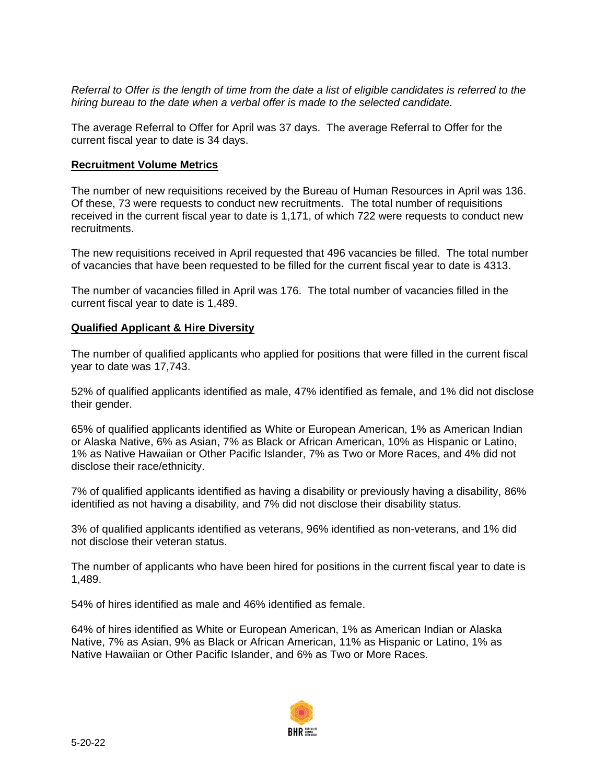*Referral to Offer is the length of time from the date a list of eligible candidates is referred to the hiring bureau to the date when a verbal offer is made to the selected candidate.*

The average Referral to Offer for April was 37 days. The average Referral to Offer for the current fiscal year to date is 34 days.

#### **Recruitment Volume Metrics**

The number of new requisitions received by the Bureau of Human Resources in April was 136. Of these, 73 were requests to conduct new recruitments. The total number of requisitions received in the current fiscal year to date is 1,171, of which 722 were requests to conduct new recruitments.

The new requisitions received in April requested that 496 vacancies be filled. The total number of vacancies that have been requested to be filled for the current fiscal year to date is 4313.

The number of vacancies filled in April was 176. The total number of vacancies filled in the current fiscal year to date is 1,489.

#### **Qualified Applicant & Hire Diversity**

The number of qualified applicants who applied for positions that were filled in the current fiscal year to date was 17,743.

52% of qualified applicants identified as male, 47% identified as female, and 1% did not disclose their gender.

65% of qualified applicants identified as White or European American, 1% as American Indian or Alaska Native, 6% as Asian, 7% as Black or African American, 10% as Hispanic or Latino, 1% as Native Hawaiian or Other Pacific Islander, 7% as Two or More Races, and 4% did not disclose their race/ethnicity.

7% of qualified applicants identified as having a disability or previously having a disability, 86% identified as not having a disability, and 7% did not disclose their disability status.

3% of qualified applicants identified as veterans, 96% identified as non-veterans, and 1% did not disclose their veteran status.

The number of applicants who have been hired for positions in the current fiscal year to date is 1,489.

54% of hires identified as male and 46% identified as female.

64% of hires identified as White or European American, 1% as American Indian or Alaska Native, 7% as Asian, 9% as Black or African American, 11% as Hispanic or Latino, 1% as Native Hawaiian or Other Pacific Islander, and 6% as Two or More Races.

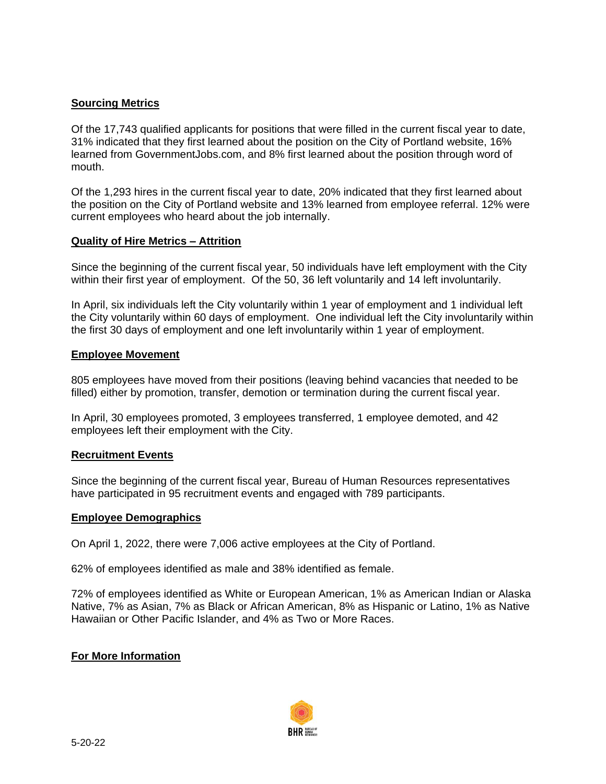# **Sourcing Metrics**

Of the 17,743 qualified applicants for positions that were filled in the current fiscal year to date, 31% indicated that they first learned about the position on the City of Portland website, 16% learned from GovernmentJobs.com, and 8% first learned about the position through word of mouth.

Of the 1,293 hires in the current fiscal year to date, 20% indicated that they first learned about the position on the City of Portland website and 13% learned from employee referral. 12% were current employees who heard about the job internally.

### **Quality of Hire Metrics – Attrition**

Since the beginning of the current fiscal year, 50 individuals have left employment with the City within their first year of employment. Of the 50, 36 left voluntarily and 14 left involuntarily.

In April, six individuals left the City voluntarily within 1 year of employment and 1 individual left the City voluntarily within 60 days of employment. One individual left the City involuntarily within the first 30 days of employment and one left involuntarily within 1 year of employment.

### **Employee Movement**

805 employees have moved from their positions (leaving behind vacancies that needed to be filled) either by promotion, transfer, demotion or termination during the current fiscal year.

In April, 30 employees promoted, 3 employees transferred, 1 employee demoted, and 42 employees left their employment with the City.

#### **Recruitment Events**

Since the beginning of the current fiscal year, Bureau of Human Resources representatives have participated in 95 recruitment events and engaged with 789 participants.

#### **Employee Demographics**

On April 1, 2022, there were 7,006 active employees at the City of Portland.

62% of employees identified as male and 38% identified as female.

72% of employees identified as White or European American, 1% as American Indian or Alaska Native, 7% as Asian, 7% as Black or African American, 8% as Hispanic or Latino, 1% as Native Hawaiian or Other Pacific Islander, and 4% as Two or More Races.

#### **For More Information**